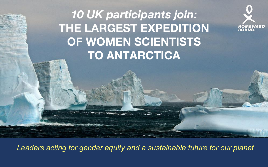# 10 UK participants join: THE LARGEST EXPEDITION OF WOMEN SCIENTISTS TO ANTARCTICA

*Leaders acting for gender equity and a sustainable future for our planet*

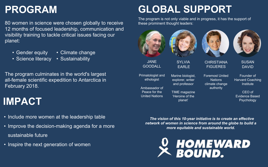



**CHRISTIANA FIGUERES** 

Marine biologist, explorer, writer and professor

TIME magazine 'Heroine of the planet'

Founder of **Harvard Coaching Institute** 

Foremost United **Nations** climate change authority



SUSAN DAVID

CEO of Evidence Based Psychology

## **GLOBAL SUPPORT**

The program is not only viable and in progress, it has the support of these prominent thought leaders:





JANE GOODALL

- Include more women at the leadership table
- Improve the decision-making agenda for a more sustainable future
- Inspire the next generation of women

Primatologist and ethologist

Ambassador of Peace for the United Nations

## **PROGRAM**

80 women in science were chosen globally to receive 12 months of focused leadership, communication and visibility training to tackle critical issues facing our planet:

> *The vision of this 10-year initiative is to create an effective network of women in science from around the globe to build a more equitable and sustainable world.*





# **IMPACT**

- Gender equity
- Climate change
- Science literacy
- Sustainability

The program culminates in the world's largest all-female scientific expedition to Antarctica in February 2018.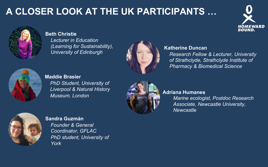### **A CLOSER LOOK AT THE UK PARTICIPANTS …**



### **Sandra Guzmán** *Founder & General Coordinator, GFLAC PhD student, University of York*





#### **Maddie Brasier**

*PhD Student, University of Liverpool & Natural History Museum, London*



### **Beth Christie**

*Lecturer in Education (Learning for Sustainability), University of Edinburgh*





### **Katherine Duncan** *Research Fellow & Lecturer, University of Strathclyde, Strathclyde Institute of Pharmacy & Biomedical Science*

# **Adriana Humanes**

*Marine ecologist, Postdoc Research Associate, Newcastle University,* 

*Newcastle*